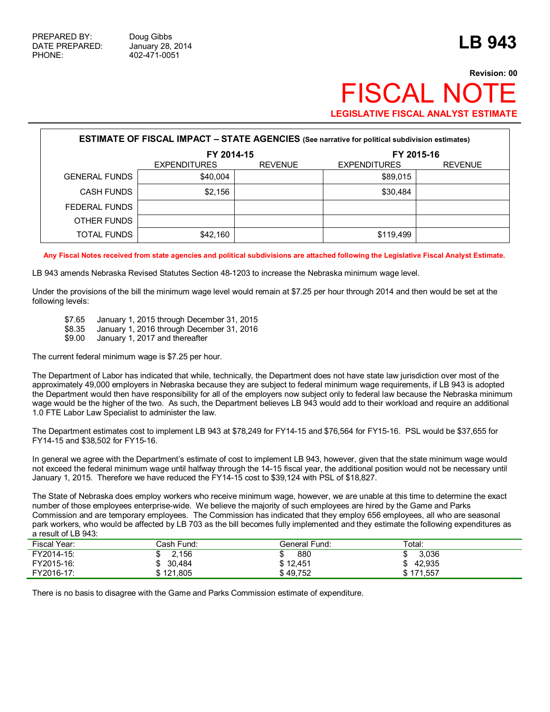# **Revision: 00 FISCAL NO LEGISLATIVE FISCAL ANALYST ESTIMATE**

| <b>ESTIMATE OF FISCAL IMPACT - STATE AGENCIES</b> (See narrative for political subdivision estimates) |                     |                |                     |                |  |  |  |  |
|-------------------------------------------------------------------------------------------------------|---------------------|----------------|---------------------|----------------|--|--|--|--|
|                                                                                                       | FY 2014-15          |                | FY 2015-16          |                |  |  |  |  |
|                                                                                                       | <b>EXPENDITURES</b> | <b>REVENUE</b> | <b>EXPENDITURES</b> | <b>REVENUE</b> |  |  |  |  |
| <b>GENERAL FUNDS</b>                                                                                  | \$40.004            |                | \$89,015            |                |  |  |  |  |
| <b>CASH FUNDS</b>                                                                                     | \$2,156             |                | \$30,484            |                |  |  |  |  |
| FEDERAL FUNDS                                                                                         |                     |                |                     |                |  |  |  |  |
| OTHER FUNDS                                                                                           |                     |                |                     |                |  |  |  |  |
| TOTAL FUNDS                                                                                           | \$42,160            |                | \$119,499           |                |  |  |  |  |

**Any Fiscal Notes received from state agencies and political subdivisions are attached following the Legislative Fiscal Analyst Estimate.**

LB 943 amends Nebraska Revised Statutes Section 48-1203 to increase the Nebraska minimum wage level.

Under the provisions of the bill the minimum wage level would remain at \$7.25 per hour through 2014 and then would be set at the following levels:

- \$7.65 January 1, 2015 through December 31, 2015
- \$8.35 January 1, 2016 through December 31, 2016<br>\$9.00 January 1, 2017 and thereafter
- January 1, 2017 and thereafter

The current federal minimum wage is \$7.25 per hour.

The Department of Labor has indicated that while, technically, the Department does not have state law jurisdiction over most of the approximately 49,000 employers in Nebraska because they are subject to federal minimum wage requirements, if LB 943 is adopted the Department would then have responsibility for all of the employers now subject only to federal law because the Nebraska minimum wage would be the higher of the two. As such, the Department believes LB 943 would add to their workload and require an additional 1.0 FTE Labor Law Specialist to administer the law.

The Department estimates cost to implement LB 943 at \$78,249 for FY14-15 and \$76,564 for FY15-16. PSL would be \$37,655 for FY14-15 and \$38,502 for FY15-16.

In general we agree with the Department's estimate of cost to implement LB 943, however, given that the state minimum wage would not exceed the federal minimum wage until halfway through the 14-15 fiscal year, the additional position would not be necessary until January 1, 2015. Therefore we have reduced the FY14-15 cost to \$39,124 with PSL of \$18,827.

The State of Nebraska does employ workers who receive minimum wage, however, we are unable at this time to determine the exact number of those employees enterprise-wide. We believe the majority of such employees are hired by the Game and Parks Commission and are temporary employees. The Commission has indicated that they employ 656 employees, all who are seasonal park workers, who would be affected by LB 703 as the bill becomes fully implemented and they estimate the following expenditures as a result of LB 943:

| Fiscal Year: | Cash Fund: | General Fund: | Total:    |
|--------------|------------|---------------|-----------|
| FY2014-15:   | 2,156      | 880           | 3,036     |
| FY2015-16:   | \$30,484   | \$12.451      | 42.935    |
| FY2016-17:   | \$121,805  | \$49.752      | \$171.557 |

There is no basis to disagree with the Game and Parks Commission estimate of expenditure.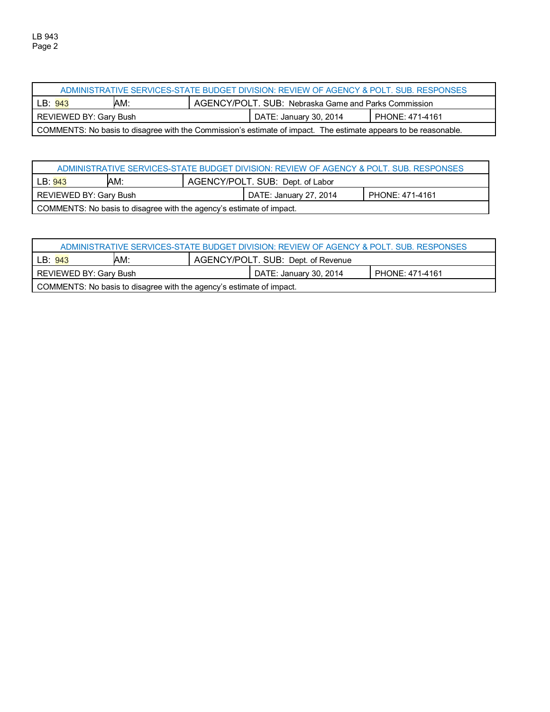| ADMINISTRATIVE SERVICES-STATE BUDGET DIVISION: REVIEW OF AGENCY & POLT. SUB. RESPONSES                          |                                                                        |  |  |                        |                 |  |
|-----------------------------------------------------------------------------------------------------------------|------------------------------------------------------------------------|--|--|------------------------|-----------------|--|
|                                                                                                                 | AM:<br>AGENCY/POLT. SUB: Nebraska Game and Parks Commission<br>LB: 943 |  |  |                        |                 |  |
| REVIEWED BY: Gary Bush                                                                                          |                                                                        |  |  | DATE: January 30, 2014 | PHONE: 471-4161 |  |
| COMMENTS: No basis to disagree with the Commission's estimate of impact. The estimate appears to be reasonable. |                                                                        |  |  |                        |                 |  |

| ADMINISTRATIVE SERVICES-STATE BUDGET DIVISION: REVIEW OF AGENCY & POLT. SUB. RESPONSES |  |  |                        |                 |  |  |
|----------------------------------------------------------------------------------------|--|--|------------------------|-----------------|--|--|
| AM:<br>AGENCY/POLT. SUB: Dept. of Labor<br>LB:943                                      |  |  |                        |                 |  |  |
| REVIEWED BY: Gary Bush                                                                 |  |  | DATE: January 27, 2014 | PHONE: 471-4161 |  |  |
| COMMENTS: No basis to disagree with the agency's estimate of impact.                   |  |  |                        |                 |  |  |

| ADMINISTRATIVE SERVICES-STATE BUDGET DIVISION: REVIEW OF AGENCY & POLT. SUB. RESPONSES |     |                                    |                        |                 |  |  |
|----------------------------------------------------------------------------------------|-----|------------------------------------|------------------------|-----------------|--|--|
| LB: 943                                                                                | AM: | AGENCY/POLT. SUB: Dept. of Revenue |                        |                 |  |  |
| REVIEWED BY: Gary Bush                                                                 |     |                                    | DATE: January 30, 2014 | PHONE: 471-4161 |  |  |
| COMMENTS: No basis to disagree with the agency's estimate of impact.                   |     |                                    |                        |                 |  |  |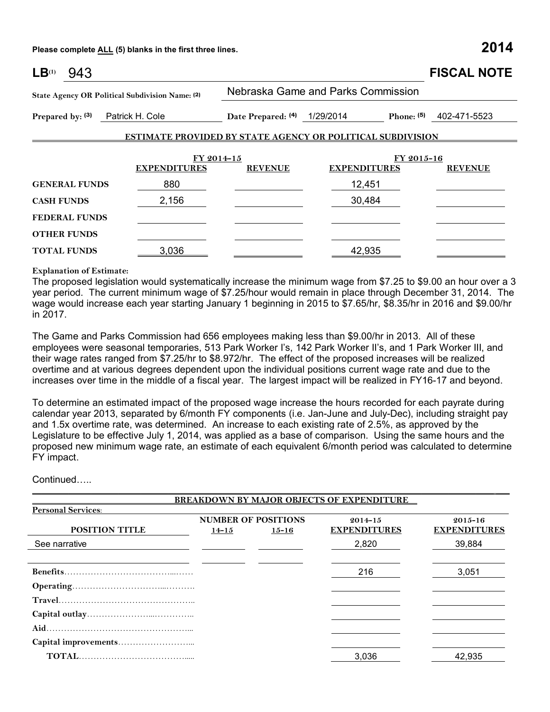**Please complete ALL (5) blanks in the first three lines. 2014**

| LB <sup>(1)</sup><br>943                        |                     |                              |                                                                   | <b>FISCAL NOTE</b>        |
|-------------------------------------------------|---------------------|------------------------------|-------------------------------------------------------------------|---------------------------|
| State Agency OR Political Subdivision Name: (2) |                     |                              | Nebraska Game and Parks Commission                                |                           |
| Prepared by: (3)                                | Patrick H. Cole     | Date Prepared: (4) 1/29/2014 |                                                                   | Phone: $(5)$ 402-471-5523 |
|                                                 |                     |                              | <b>ESTIMATE PROVIDED BY STATE AGENCY OR POLITICAL SUBDIVISION</b> |                           |
|                                                 |                     | FY 2014-15                   | FY 2015-16                                                        |                           |
|                                                 | <b>EXPENDITURES</b> | <b>REVENUE</b>               | <b>EXPENDITURES</b>                                               | <b>REVENUE</b>            |
| <b>GENERAL FUNDS</b>                            | 880                 |                              | 12,451                                                            |                           |
| <b>CASH FUNDS</b>                               | 2,156               |                              | 30,484                                                            |                           |
| <b>FEDERAL FUNDS</b>                            |                     |                              |                                                                   |                           |
| <b>OTHER FUNDS</b>                              |                     |                              |                                                                   |                           |
| <b>TOTAL FUNDS</b>                              | 3,036               |                              | 42,935                                                            |                           |

#### **Explanation of Estimate:**

The proposed legislation would systematically increase the minimum wage from \$7.25 to \$9.00 an hour over a 3 year period. The current minimum wage of \$7.25/hour would remain in place through December 31, 2014. The wage would increase each year starting January 1 beginning in 2015 to \$7.65/hr, \$8.35/hr in 2016 and \$9.00/hr in 2017.

The Game and Parks Commission had 656 employees making less than \$9.00/hr in 2013. All of these employees were seasonal temporaries, 513 Park Worker I's, 142 Park Worker II's, and 1 Park Worker III, and their wage rates ranged from \$7.25/hr to \$8.972/hr. The effect of the proposed increases will be realized overtime and at various degrees dependent upon the individual positions current wage rate and due to the increases over time in the middle of a fiscal year. The largest impact will be realized in FY16-17 and beyond.

To determine an estimated impact of the proposed wage increase the hours recorded for each payrate during calendar year 2013, separated by 6/month FY components (i.e. Jan-June and July-Dec), including straight pay and 1.5x overtime rate, was determined. An increase to each existing rate of 2.5%, as approved by the Legislature to be effective July 1, 2014, was applied as a base of comparison. Using the same hours and the proposed new minimum wage rate, an estimate of each equivalent 6/month period was calculated to determine FY impact.

 $\mathcal{L}_\mathcal{L} = \{ \mathcal{L}_\mathcal{L} = \{ \mathcal{L}_\mathcal{L} = \{ \mathcal{L}_\mathcal{L} = \{ \mathcal{L}_\mathcal{L} = \{ \mathcal{L}_\mathcal{L} = \{ \mathcal{L}_\mathcal{L} = \{ \mathcal{L}_\mathcal{L} = \{ \mathcal{L}_\mathcal{L} = \{ \mathcal{L}_\mathcal{L} = \{ \mathcal{L}_\mathcal{L} = \{ \mathcal{L}_\mathcal{L} = \{ \mathcal{L}_\mathcal{L} = \{ \mathcal{L}_\mathcal{L} = \{ \mathcal{L}_\mathcal{$ 

Continued…..

|                           |           |                            | <b>BREAKDOWN BY MAJOR OBJECTS OF EXPENDITURE</b> |                                    |
|---------------------------|-----------|----------------------------|--------------------------------------------------|------------------------------------|
| <b>Personal Services:</b> |           |                            |                                                  |                                    |
| <b>POSITION TITLE</b>     |           | <b>NUMBER OF POSITIONS</b> | $2014 - 15$<br><b>EXPENDITURES</b>               | $2015 - 16$<br><b>EXPENDITURES</b> |
|                           | $14 - 15$ | $15 - 16$                  |                                                  |                                    |
| See narrative             |           |                            | 2,820                                            | 39,884                             |
|                           |           |                            |                                                  |                                    |
|                           |           |                            | 216                                              | 3,051                              |
|                           |           |                            |                                                  |                                    |
|                           |           |                            |                                                  |                                    |
|                           |           |                            |                                                  |                                    |
|                           |           |                            |                                                  |                                    |
|                           |           |                            |                                                  |                                    |
|                           |           |                            | 3,036                                            | 42,935                             |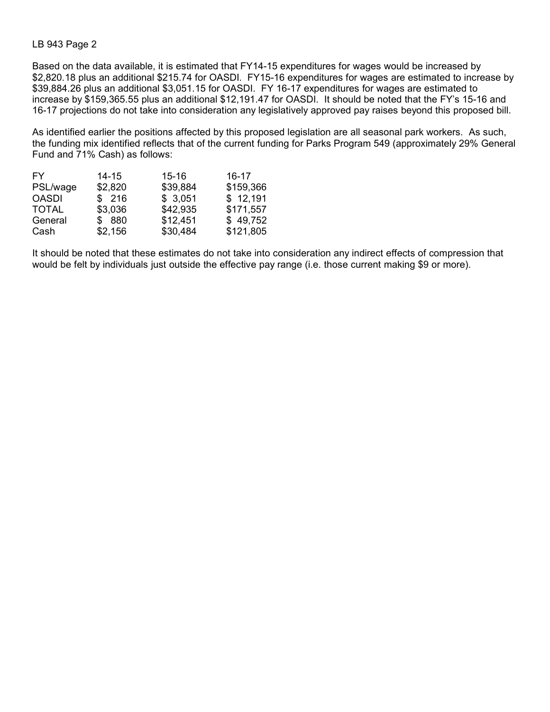### LB 943 Page 2

Based on the data available, it is estimated that FY14-15 expenditures for wages would be increased by \$2,820.18 plus an additional \$215.74 for OASDI. FY15-16 expenditures for wages are estimated to increase by \$39,884.26 plus an additional \$3,051.15 for OASDI. FY 16-17 expenditures for wages are estimated to increase by \$159,365.55 plus an additional \$12,191.47 for OASDI. It should be noted that the FY's 15-16 and 16-17 projections do not take into consideration any legislatively approved pay raises beyond this proposed bill.

As identified earlier the positions affected by this proposed legislation are all seasonal park workers. As such, the funding mix identified reflects that of the current funding for Parks Program 549 (approximately 29% General Fund and 71% Cash) as follows:

| FY.          | $14 - 15$ | $15 - 16$ | $16 - 17$ |
|--------------|-----------|-----------|-----------|
| PSL/wage     | \$2,820   | \$39,884  | \$159,366 |
| <b>OASDI</b> | \$216     | \$3,051   | \$12,191  |
| <b>TOTAL</b> | \$3,036   | \$42,935  | \$171,557 |
| General      | \$ 880    | \$12,451  | \$49,752  |
| Cash         | \$2,156   | \$30,484  | \$121,805 |

It should be noted that these estimates do not take into consideration any indirect effects of compression that would be felt by individuals just outside the effective pay range (i.e. those current making \$9 or more).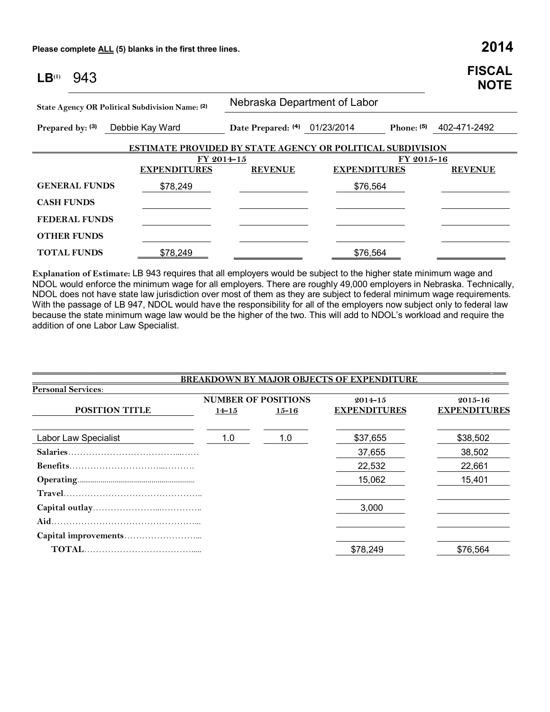**Please complete ALL (5) blanks in the first three lines. 2014**

| LB <sup>(1)</sup> | 943                  |                                                                   |                               |                     |            | <b>FISCAL</b><br><b>NOTE</b> |
|-------------------|----------------------|-------------------------------------------------------------------|-------------------------------|---------------------|------------|------------------------------|
|                   |                      | State Agency OR Political Subdivision Name: (2)                   | Nebraska Department of Labor  |                     |            |                              |
| Prepared by: (3)  |                      | Debbie Kay Ward                                                   | Date Prepared: (4) 01/23/2014 |                     |            | Phone: (5) 402-471-2492      |
|                   |                      | <b>ESTIMATE PROVIDED BY STATE AGENCY OR POLITICAL SUBDIVISION</b> |                               |                     |            |                              |
|                   |                      | FY 2014-15                                                        |                               |                     | FY 2015-16 |                              |
|                   |                      | <b>EXPENDITURES</b>                                               | <b>REVENUE</b>                | <b>EXPENDITURES</b> |            | <b>REVENUE</b>               |
|                   | <b>GENERAL FUNDS</b> | \$78,249                                                          |                               | \$76,564            |            |                              |
| <b>CASH FUNDS</b> |                      |                                                                   |                               |                     |            |                              |
|                   | <b>FEDERAL FUNDS</b> |                                                                   |                               |                     |            |                              |
|                   | <b>OTHER FUNDS</b>   |                                                                   |                               |                     |            |                              |
|                   | <b>TOTAL FUNDS</b>   | \$78,249                                                          |                               | \$76,564            |            |                              |

**Explanation of Estimate:** LB 943 requires that all employers would be subject to the higher state minimum wage and NDOL would enforce the minimum wage for all employers. There are roughly 49,000 employers in Nebraska. Technically, NDOL does not have state law jurisdiction over most of them as they are subject to federal minimum wage requirements. With the passage of LB 947, NDOL would have the responsibility for all of the employers now subject only to federal law because the state minimum wage law would be the higher of the two. This will add to NDOL's workload and require the addition of one Labor Law Specialist.

|                           |           |                                         | <b>BREAKDOWN BY MAJOR OBJECTS OF EXPENDITURE</b> |                                    |
|---------------------------|-----------|-----------------------------------------|--------------------------------------------------|------------------------------------|
| <b>Personal Services:</b> |           |                                         |                                                  |                                    |
| <b>POSITION TITLE</b>     | $14 - 15$ | <b>NUMBER OF POSITIONS</b><br>$15 - 16$ | $2014 - 15$<br><b>EXPENDITURES</b>               | $2015 - 16$<br><b>EXPENDITURES</b> |
| Labor Law Specialist      | 1.0       | 1.0                                     | \$37,655                                         | \$38,502                           |
|                           |           |                                         | 37,655                                           | 38,502                             |
|                           |           |                                         | 22,532                                           | 22,661                             |
|                           |           |                                         | 15,062                                           | 15,401                             |
|                           |           |                                         |                                                  |                                    |
|                           |           |                                         | 3,000                                            |                                    |
|                           |           |                                         |                                                  |                                    |
|                           |           |                                         |                                                  |                                    |
|                           |           |                                         | \$78,249                                         | \$76,564                           |